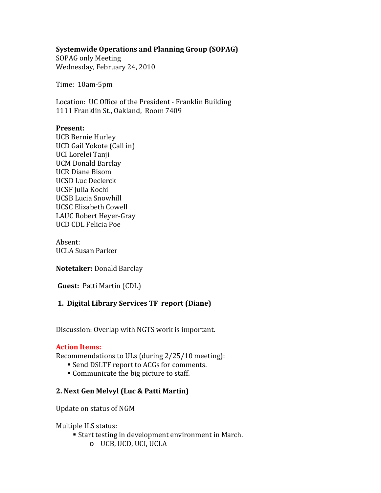#### **Systemwide Operations and Planning Group (SOPAG)**

SOPAG only Meeting Wednesday, February 24, 2010

Time: 10am-5pm

Location: UC Office of the President - Franklin Building 1111 Franklin St., Oakland, Room 7409

#### **Present:**

UCB Bernie Hurley UCD Gail Yokote (Call in) UCI Lorelei Tanji UCM Donald Barclay UCR Diane Bisom UCSD Luc Declerck UCSF Julia Kochi UCSB Lucia Snowhill UCSC Elizabeth Cowell LAUC Robert Heyer-Gray UCD CDL Felicia Poe

Absent: UCLA Susan Parker

**Notetaker:** Donald Barclay

**Guest:** Patti Martin (CDL)

### **1. Digital Library Services TF report (Diane)**

Discussion: Overlap with NGTS work is important.

#### **Action Items:**

Recommendations to ULs (during 2/25/10 meeting):

- Send DSLTF report to ACGs for comments.
- Communicate the big picture to staff.

#### **2. Next Gen Melvyl (Luc & Patti Martin)**

Update on status of NGM

Multiple ILS status:

- Start testing in development environment in March.
	- o UCB, UCD, UCI, UCLA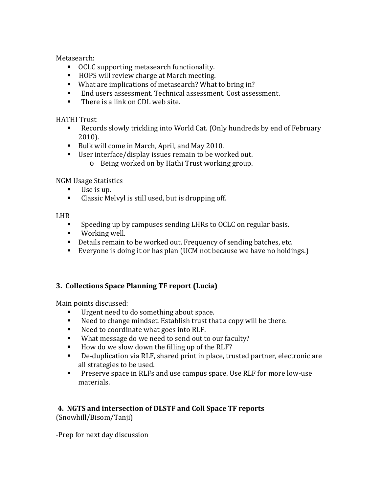Metasearch:

- OCLC supporting metasearch functionality.
- HOPS will review charge at March meeting.
- What are implications of metasearch? What to bring in?<br>■ Fod users assessment Technical assessment Cost asses
- End users assessment. Technical assessment. Cost assessment.<br>■ There is a link on CDL web site
- There is a link on CDL web site.

HATHI Trust

- Records slowly trickling into World Cat. (Only hundreds by end of February 2010).
- Bulk will come in March, April, and May 2010.
- User interface/display issues remain to be worked out.
	- o Being worked on by Hathi Trust working group.

NGM Usage Statistics<br>■ Ilse is un.

- Use is up.<br>■ Classic Me
- Classic Melvyl is still used, but is dropping off.

LHR

- Speeding up by campuses sending LHRs to OCLC on regular basis.
- Working well.
- Details remain to be worked out. Frequency of sending batches, etc.
- Everyone is doing it or has plan (UCM not because we have no holdings.)

# **3. Collections Space Planning TF report (Lucia)**

Main points discussed:

- Urgent need to do something about space.<br>■ Need to change mindset. Establish trust th:
- Need to change mindset. Establish trust that a copy will be there.
- Need to coordinate what goes into RLF.<br>■ What message do we need to send out to
- What message do we need to send out to our faculty?<br>■ How do we slow down the filling up of the RLF?
- How do we slow down the filling up of the RLF?<br>De-duplication via RLF, shared print in place, true
- De-duplication via RLF, shared print in place, trusted partner, electronic are all strategies to be used.
- **Preserve space in RLFs and use campus space. Use RLF for more low-use** materials.

# **4. NGTS and intersection of DLSTF and Coll Space TF reports**

(Snowhill/Bisom/Tanji)

-Prep for next day discussion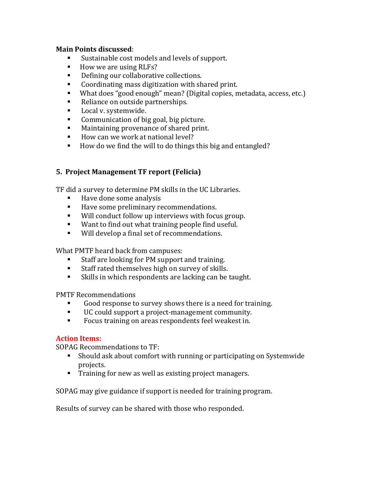#### **Main Points discussed**:

- Sustainable cost models and levels of support.
- How we are using RLFs?<br>■ Defining our collaborativ
- Defining our collaborative collections.<br>Coordinating mass digitization with sh
- Coordinating mass digitization with shared print.<br>■ What does "good enough" mean? (Digital copies. m
- What does "good enough" mean? (Digital copies, metadata, access, etc.)<br>■ Reliance on outside partnershins.
- Reliance on outside partnerships.<br>• Local v. systemwide.
- **Local v. systemwide.**<br>Communication of his
- **Communication of big goal, big picture.**<br>Maintaining provenance of shared print
- Maintaining provenance of shared print.<br>■ How can we work at national level?
- How can we work at national level?
- How do we find the will to do things this big and entangled?

#### **5. Project Management TF report (Felicia)**

TF did a survey to determine PM skills in the UC Libraries.

- Have done some analysis<br>■ Have some preliminary re
- Have some preliminary recommendations.<br>■ Will conduct follow un interviews with focu
- Will conduct follow up interviews with focus group.<br>■ Want to find out what training people find useful
- Want to find out what training people find useful.<br>■ Will develon a final set of recommendations
- Will develop a final set of recommendations.

What PMTF heard back from campuses:

- Staff are looking for PM support and training.<br>Staff rated themselves high on survey of skills
- Staff rated themselves high on survey of skills.<br>Skills in which respondents are lacking can be a
- Skills in which respondents are lacking can be taught.

PMTF Recommendations

- Good response to survey shows there is a need for training.<br>
U.C. could support a project-management community.
- UC could support a project-management community.<br>■ Focus training on areas respondents feel weakest in
- Focus training on areas respondents feel weakest in.

#### **Action Items:**

SOPAG Recommendations to TF:

- Should ask about comfort with running or participating on Systemwide projects.
- Training for new as well as existing project managers.

SOPAG may give guidance if support is needed for training program.

Results of survey can be shared with those who responded.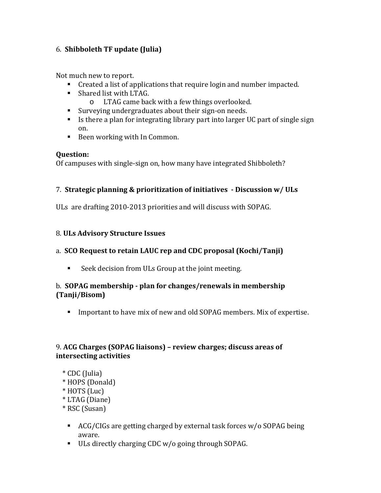### 6. **Shibboleth TF update (Julia)**

Not much new to report.

- Created a list of applications that require login and number impacted.
- Shared list with LTAG.<br>C LTAG came back
	- LTAG came back with a few things overlooked.
- Surveying undergraduates about their sign-on needs.
- Is there a plan for integrating library part into larger UC part of single sign on.
- Been working with In Common.

#### **Question:**

Of campuses with single-sign on, how many have integrated Shibboleth?

#### 7. **Strategic planning & prioritization of initiatives - Discussion w/ ULs**

ULs are drafting 2010-2013 priorities and will discuss with SOPAG.

#### 8. **ULs Advisory Structure Issues**

### a. **SCO Request to retain LAUC rep and CDC proposal (Kochi/Tanji)**

■ Seek decision from ULs Group at the joint meeting.

#### b. **SOPAG membership - plan for changes/renewals in membership (Tanji/Bisom)**

Important to have mix of new and old SOPAG members. Mix of expertise.

### 9. **ACG Charges (SOPAG liaisons) – review charges; discuss areas of intersecting activities**

- \* CDC (Julia)
- \* HOPS (Donald)
- \* HOTS (Luc)
- \* LTAG (Diane)
- \* RSC (Susan)
	- ACG/CIGs are getting charged by external task forces w/o SOPAG being aware.
	- ULs directly charging CDC w/o going through SOPAG.